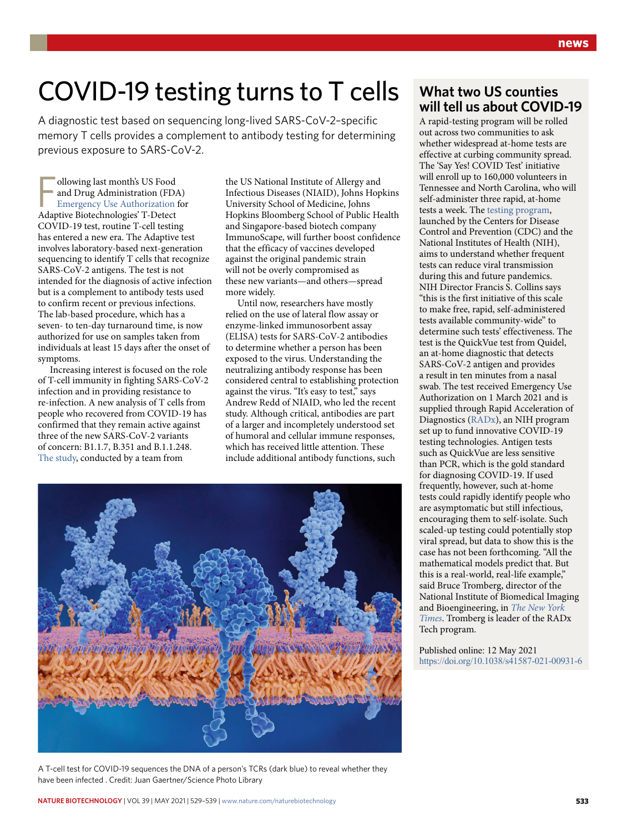## COVID-19 testing turns to T cells

A diagnostic test based on sequencing long-lived SARS-CoV-2–specifc memory T cells provides a complement to antibody testing for determining previous exposure to SARS-CoV-2.

ollowing last month's US Food<br>and Drug Administration (FDA<br>Emergency Use Authorization<br>Adaptive Biotechnologies' T-Detect ollowing last month's US Food and Drug Administration (FDA) [Emergency Use Authorization](https://www.fda.gov/news-events/press-announcements/coronavirus-covid-19-update-fda-authorizes-adaptive-biotechnologies-t-detect-covid-test) for COVID-19 test, routine T-cell testing has entered a new era. The Adaptive test involves laboratory-based next-generation sequencing to identify T cells that recognize SARS-CoV-2 antigens. The test is not intended for the diagnosis of active infection but is a complement to antibody tests used to confirm recent or previous infections. The lab-based procedure, which has a seven- to ten-day turnaround time, is now authorized for use on samples taken from individuals at least 15 days after the onset of symptoms.

Increasing interest is focused on the role of T-cell immunity in fighting SARS-CoV-2 infection and in providing resistance to re-infection. A new analysis of T cells from people who recovered from COVID-19 has confirmed that they remain active against three of the new SARS-CoV-2 variants of concern: B1.1.7, B.351 and B.1.1.248. [The study](https://doi.org/10.1093/ofid/ofab143), conducted by a team from

the US National Institute of Allergy and Infectious Diseases (NIAID), Johns Hopkins University School of Medicine, Johns Hopkins Bloomberg School of Public Health and Singapore-based biotech company ImmunoScape, will further boost confidence that the efficacy of vaccines developed against the original pandemic strain will not be overly compromised as these new variants—and others—spread more widely.

Until now, researchers have mostly relied on the use of lateral flow assay or enzyme-linked immunosorbent assay (ELISA) tests for SARS-CoV-2 antibodies to determine whether a person has been exposed to the virus. Understanding the neutralizing antibody response has been considered central to establishing protection against the virus. "It's easy to test," says Andrew Redd of NIAID, who led the recent study. Although critical, antibodies are part of a larger and incompletely understood set of humoral and cellular immune responses, which has received little attention. These include additional antibody functions, such



A T-cell test for COVID-19 sequences the DNA of a person's TCRs (dark blue) to reveal whether they have been infected . Credit: Juan Gaertner/Science Photo Library

## **What two US counties will tell us about COVID-19**

A rapid-testing program will be rolled out across two communities to ask whether widespread at-home tests are effective at curbing community spread. The 'Say Yes! COVID Test' initiative will enroll up to 160,000 volunteers in Tennessee and North Carolina, who will self-administer three rapid, at-home tests a week. The [testing program](https://www.nih.gov/news-events/news-releases/cdc-nih-bring-covid-19-self-testing-residents-two-locales), launched by the Centers for Disease Control and Prevention (CDC) and the National Institutes of Health (NIH), aims to understand whether frequent tests can reduce viral transmission during this and future pandemics. NIH Director Francis S. Collins says "this is the first initiative of this scale to make free, rapid, self-administered tests available community-wide" to determine such tests' effectiveness. The test is the QuickVue test from Quidel, an at-home diagnostic that detects SARS-CoV-2 antigen and provides a result in ten minutes from a nasal swab. The test received Emergency Use Authorization on 1 March 2021 and is supplied through Rapid Acceleration of Diagnostics [\(RADx\)](https://www.nih.gov/research-training/medical-research-initiatives/radx), an NIH program set up to fund innovative COVID-19 testing technologies. Antigen tests such as QuickVue are less sensitive than PCR, which is the gold standard for diagnosing COVID-19. If used frequently, however, such at-home tests could rapidly identify people who are asymptomatic but still infectious, encouraging them to self-isolate. Such scaled-up testing could potentially stop viral spread, but data to show this is the case has not been forthcoming. "All the mathematical models predict that. But this is a real-world, real-life example," said Bruce Tromberg, director of the National Institute of Biomedical Imaging and Bioengineering, in *[The New York](https://www.nytimes.com/2021/03/31/health/covid-testing-antigen-rapid.html)  [Times](https://www.nytimes.com/2021/03/31/health/covid-testing-antigen-rapid.html)*. Tromberg is leader of the RADx Tech program.

Published online: 12 May 2021 <https://doi.org/10.1038/s41587-021-00931-6>